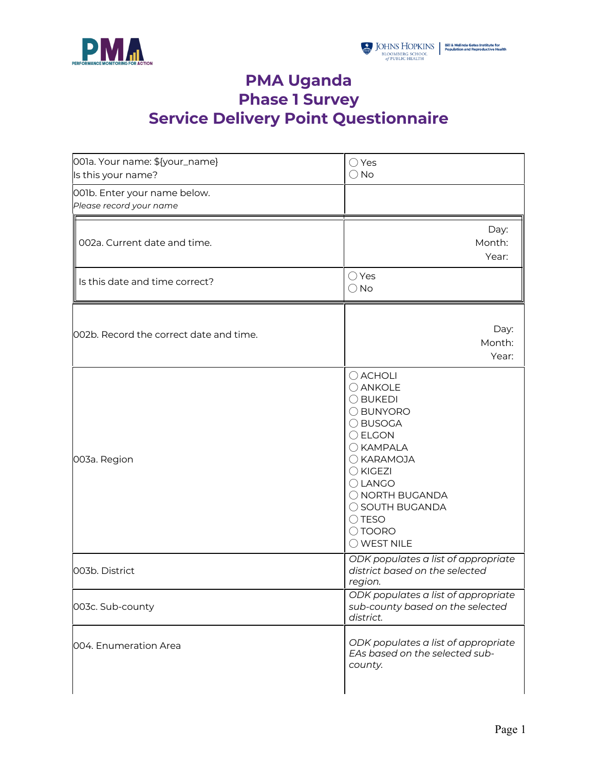



## **PMA Uganda Phase 1 Survey Service Delivery Point Questionnaire**

| 001a. Your name: \${your_name}<br>Is this your name?    | $\bigcirc$ Yes<br>$\bigcirc$ No                                                                                                                                                                                                               |
|---------------------------------------------------------|-----------------------------------------------------------------------------------------------------------------------------------------------------------------------------------------------------------------------------------------------|
| 001b. Enter your name below.<br>Please record your name |                                                                                                                                                                                                                                               |
| 002a. Current date and time.                            | Day:<br>Month:<br>Year:                                                                                                                                                                                                                       |
| Is this date and time correct?                          | $\bigcirc$ Yes<br>$\bigcirc$ No                                                                                                                                                                                                               |
| 002b. Record the correct date and time.                 | Day:<br>Month:<br>Year:                                                                                                                                                                                                                       |
| 003a. Region                                            | $\bigcirc$ ACHOLI<br>O ANKOLE<br>◯ BUKEDI<br>○ BUNYORO<br>◯ BUSOGA<br>$\bigcirc$ ELGON<br>◯ KAMPALA<br>O KARAMOJA<br>$\bigcirc$ KIGEZI<br>$\bigcirc$ LANGO<br>O NORTH BUGANDA<br>◯ SOUTH BUGANDA<br>$\bigcirc$ TESO<br>○ TOORO<br>O WEST NILE |
| 003b. District                                          | ODK populates a list of appropriate<br>district based on the selected<br>region.                                                                                                                                                              |
| 003c. Sub-county                                        | ODK populates a list of appropriate<br>sub-county based on the selected<br>district.                                                                                                                                                          |
| 004. Enumeration Area                                   | ODK populates a list of appropriate<br>EAs based on the selected sub-<br>county.                                                                                                                                                              |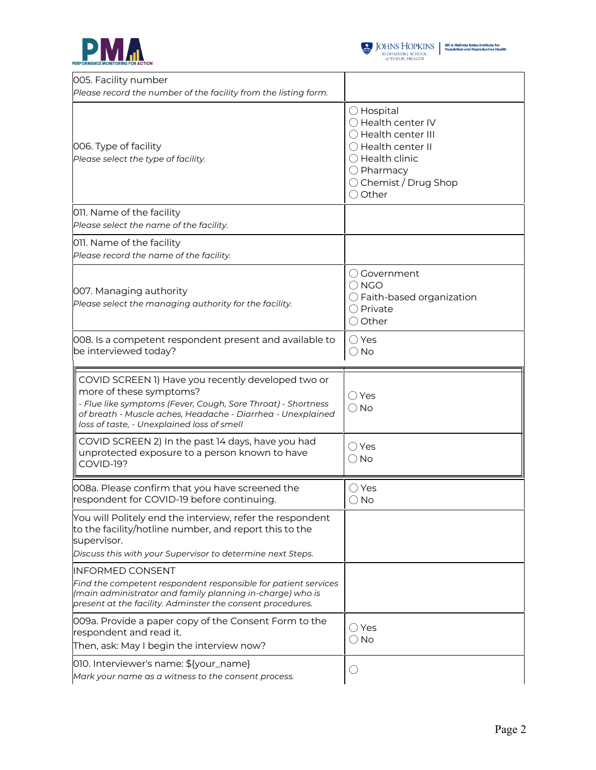



| 005. Facility number<br>Please record the number of the facility from the listing form.                                                                                                                                                                    |                                                                                                                                                                               |
|------------------------------------------------------------------------------------------------------------------------------------------------------------------------------------------------------------------------------------------------------------|-------------------------------------------------------------------------------------------------------------------------------------------------------------------------------|
| 006. Type of facility<br>Please select the type of facility.                                                                                                                                                                                               | $\bigcirc$ Hospital<br>◯ Health center IV<br>◯ Health center III<br>◯ Health center II<br>$\bigcirc$ Health clinic<br>$\bigcirc$ Pharmacy<br>◯ Chemist / Drug Shop<br>◯ Other |
| 011. Name of the facility<br>Please select the name of the facility.                                                                                                                                                                                       |                                                                                                                                                                               |
| 011. Name of the facility<br>Please record the name of the facility.                                                                                                                                                                                       |                                                                                                                                                                               |
| 007. Managing authority<br>Please select the managing authority for the facility.                                                                                                                                                                          | () Government<br>$\bigcirc$ NGO<br>$\bigcirc$ Faith-based organization<br>○ Private<br>O Other                                                                                |
| 008. Is a competent respondent present and available to<br>be interviewed today?                                                                                                                                                                           | ◯ Yes<br>$\bigcirc$ No                                                                                                                                                        |
| COVID SCREEN 1) Have you recently developed two or<br>more of these symptoms?<br>- Flue like symptoms (Fever, Cough, Sore Throat) - Shortness<br>of breath - Muscle aches, Headache - Diarrhea - Unexplained<br>loss of taste, - Unexplained loss of smell | $\bigcirc$ Yes<br>$\bigcirc$ No                                                                                                                                               |
| COVID SCREEN 2) In the past 14 days, have you had<br>unprotected exposure to a person known to have<br>COVID-19?                                                                                                                                           | ◯ Yes<br>$\bigcirc$ No                                                                                                                                                        |
| 008a. Please confirm that you have screened the<br>respondent for COVID-19 before continuing.                                                                                                                                                              | $\bigcirc$ Yes<br>$\bigcirc$ No                                                                                                                                               |
| You will Politely end the interview, refer the respondent<br>to the facility/hotline number, and report this to the<br>supervisor.<br>Discuss this with your Supervisor to determine next Steps.                                                           |                                                                                                                                                                               |
| <b>INFORMED CONSENT</b><br>Find the competent respondent responsible for patient services<br>(main administrator and family planning in-charge) who is<br>present at the facility. Adminster the consent procedures.                                       |                                                                                                                                                                               |
| 009a. Provide a paper copy of the Consent Form to the<br>respondent and read it.<br>Then, ask: May I begin the interview now?                                                                                                                              | ○ Yes<br>$\bigcirc$ No                                                                                                                                                        |
| 010. Interviewer's name: \${your_name}<br>Mark your name as a witness to the consent process.                                                                                                                                                              | O                                                                                                                                                                             |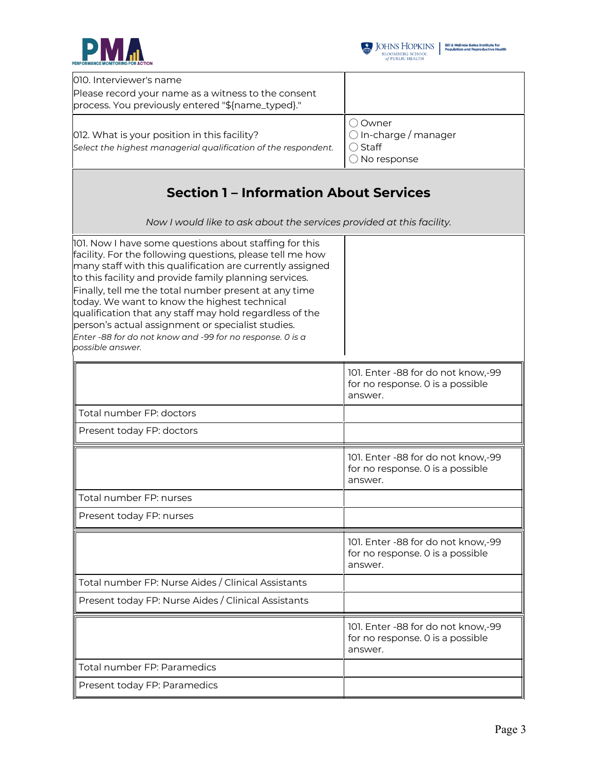



| 010. Interviewer's name                                                                                                                                                                                                                                                                                                                                                                                                                                                                                                                              |                                                                                         |  |
|------------------------------------------------------------------------------------------------------------------------------------------------------------------------------------------------------------------------------------------------------------------------------------------------------------------------------------------------------------------------------------------------------------------------------------------------------------------------------------------------------------------------------------------------------|-----------------------------------------------------------------------------------------|--|
| Please record your name as a witness to the consent                                                                                                                                                                                                                                                                                                                                                                                                                                                                                                  |                                                                                         |  |
| process. You previously entered "\${name_typed}."                                                                                                                                                                                                                                                                                                                                                                                                                                                                                                    |                                                                                         |  |
| 012. What is your position in this facility?<br>Select the highest managerial qualification of the respondent.                                                                                                                                                                                                                                                                                                                                                                                                                                       | ○ Owner<br>$\bigcirc$ In-charge / manager<br>$\bigcirc$ Staff<br>$\bigcirc$ No response |  |
| <b>Section 1 - Information About Services</b>                                                                                                                                                                                                                                                                                                                                                                                                                                                                                                        |                                                                                         |  |
| Now I would like to ask about the services provided at this facility.                                                                                                                                                                                                                                                                                                                                                                                                                                                                                |                                                                                         |  |
| 101. Now I have some questions about staffing for this<br>facility. For the following questions, please tell me how<br>many staff with this qualification are currently assigned<br>to this facility and provide family planning services.<br>Finally, tell me the total number present at any time<br>today. We want to know the highest technical<br>qualification that any staff may hold regardless of the<br>person's actual assignment or specialist studies.<br>Enter -88 for do not know and -99 for no response. 0 is a<br>possible answer. |                                                                                         |  |
|                                                                                                                                                                                                                                                                                                                                                                                                                                                                                                                                                      | 101. Enter -88 for do not know,-99<br>for no response. O is a possible<br>answer.       |  |
| Total number FP: doctors                                                                                                                                                                                                                                                                                                                                                                                                                                                                                                                             |                                                                                         |  |
| Present today FP: doctors                                                                                                                                                                                                                                                                                                                                                                                                                                                                                                                            |                                                                                         |  |
|                                                                                                                                                                                                                                                                                                                                                                                                                                                                                                                                                      | 101. Enter -88 for do not know,-99<br>for no response. 0 is a possible<br>answer.       |  |
| Total number FP: nurses                                                                                                                                                                                                                                                                                                                                                                                                                                                                                                                              |                                                                                         |  |
| Present today FP: nurses                                                                                                                                                                                                                                                                                                                                                                                                                                                                                                                             |                                                                                         |  |
|                                                                                                                                                                                                                                                                                                                                                                                                                                                                                                                                                      | 101. Enter -88 for do not know,-99<br>for no response. O is a possible<br>answer.       |  |
| Total number FP: Nurse Aides / Clinical Assistants                                                                                                                                                                                                                                                                                                                                                                                                                                                                                                   |                                                                                         |  |
| Present today FP: Nurse Aides / Clinical Assistants                                                                                                                                                                                                                                                                                                                                                                                                                                                                                                  |                                                                                         |  |
|                                                                                                                                                                                                                                                                                                                                                                                                                                                                                                                                                      | 101. Enter -88 for do not know,-99<br>for no response. O is a possible<br>answer.       |  |
| Total number FP: Paramedics                                                                                                                                                                                                                                                                                                                                                                                                                                                                                                                          |                                                                                         |  |
| Present today FP: Paramedics                                                                                                                                                                                                                                                                                                                                                                                                                                                                                                                         |                                                                                         |  |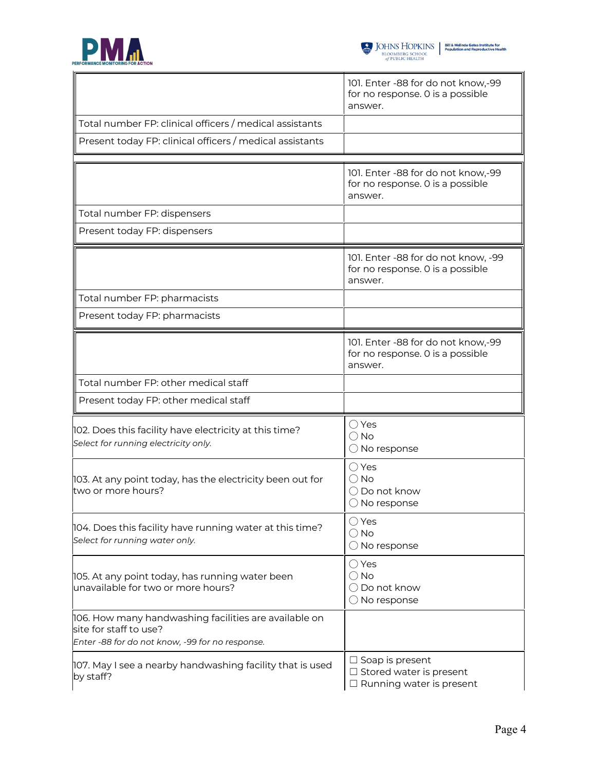



|                                                                                                                                    | 101. Enter -88 for do not know,-99<br>for no response. O is a possible<br>answer.           |
|------------------------------------------------------------------------------------------------------------------------------------|---------------------------------------------------------------------------------------------|
| Total number FP: clinical officers / medical assistants                                                                            |                                                                                             |
| Present today FP: clinical officers / medical assistants                                                                           |                                                                                             |
|                                                                                                                                    | 101. Enter -88 for do not know,-99<br>for no response. 0 is a possible<br>answer.           |
| Total number FP: dispensers                                                                                                        |                                                                                             |
| Present today FP: dispensers                                                                                                       |                                                                                             |
|                                                                                                                                    | 101. Enter -88 for do not know, -99<br>for no response. 0 is a possible<br>answer.          |
| Total number FP: pharmacists                                                                                                       |                                                                                             |
| Present today FP: pharmacists                                                                                                      |                                                                                             |
|                                                                                                                                    | 101. Enter -88 for do not know,-99<br>for no response. 0 is a possible<br>answer.           |
| Total number FP: other medical staff                                                                                               |                                                                                             |
| Present today FP: other medical staff                                                                                              |                                                                                             |
| 102. Does this facility have electricity at this time?<br>Select for running electricity only.                                     | $\bigcirc$ Yes<br>$\bigcirc$ No<br>$\bigcirc$ No response                                   |
| 103. At any point today, has the electricity been out for<br>two or more hours?                                                    | $\bigcirc$ Yes<br>$\bigcirc$ No<br>◯ Do not know<br>$\bigcirc$ No response                  |
| 104. Does this facility have running water at this time?<br>Select for running water only.                                         | $\bigcirc$ Yes<br>$\bigcirc$ No<br>$\bigcirc$ No response                                   |
| 105. At any point today, has running water been<br>unavailable for two or more hours?                                              | $\bigcirc$ Yes<br>$\bigcirc$ No<br>$\bigcirc$ Do not know<br>$\bigcirc$ No response         |
| 106. How many handwashing facilities are available on<br>site for staff to use?<br>Enter -88 for do not know, -99 for no response. |                                                                                             |
| 107. May I see a nearby handwashing facility that is used<br>by staff?                                                             | $\Box$ Soap is present<br>$\Box$ Stored water is present<br>$\Box$ Running water is present |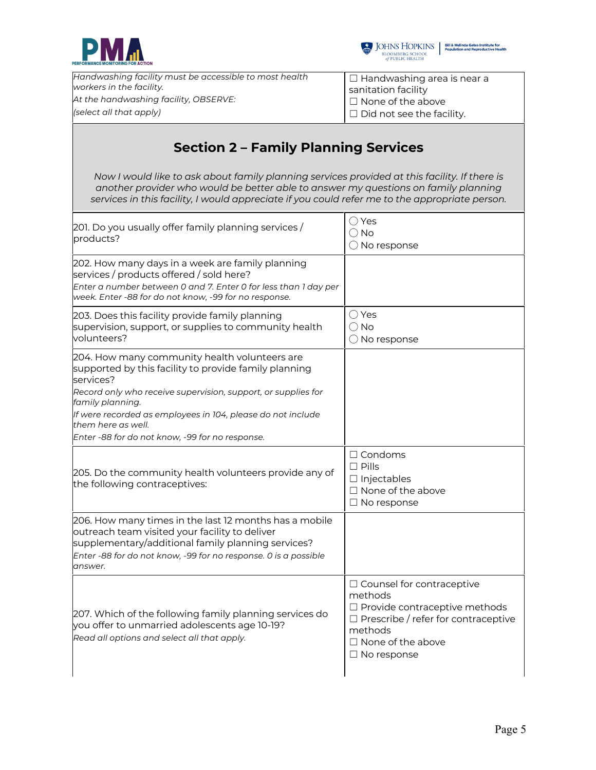



| Handwashing facility must be accessible to most health<br>workers in the facility. | $\Box$ Handwashing area is near a<br>sanitation facility |
|------------------------------------------------------------------------------------|----------------------------------------------------------|
| At the handwashing facility, OBSERVE:                                              | $\Box$ None of the above                                 |
| (select all that apply)                                                            | $\Box$ Did not see the facility.                         |

## **Section 2 – Family Planning Services**

*Now I would like to ask about family planning services provided at this facility. If there is another provider who would be better able to answer my questions on family planning services in this facility, I would appreciate if you could refer me to the appropriate person.*

| 201. Do you usually offer family planning services /<br>products?                                                                                                                                                                                                                                                                                | $\bigcirc$ Yes<br>$\bigcirc$ No<br>$\bigcirc$ No response                                                                                                                                      |
|--------------------------------------------------------------------------------------------------------------------------------------------------------------------------------------------------------------------------------------------------------------------------------------------------------------------------------------------------|------------------------------------------------------------------------------------------------------------------------------------------------------------------------------------------------|
| 202. How many days in a week are family planning<br>services / products offered / sold here?<br>Enter a number between 0 and 7. Enter 0 for less than 1 day per<br>week. Enter -88 for do not know, -99 for no response.                                                                                                                         |                                                                                                                                                                                                |
| 203. Does this facility provide family planning<br>supervision, support, or supplies to community health<br>volunteers?                                                                                                                                                                                                                          | $\bigcirc$ Yes<br>$\bigcirc$ No<br>$\bigcirc$ No response                                                                                                                                      |
| 204. How many community health volunteers are<br>supported by this facility to provide family planning<br>services?<br>Record only who receive supervision, support, or supplies for<br>family planning.<br>If were recorded as employees in 104, please do not include<br>them here as well.<br>Enter -88 for do not know, -99 for no response. |                                                                                                                                                                                                |
| 205. Do the community health volunteers provide any of<br>the following contraceptives:                                                                                                                                                                                                                                                          | $\Box$ Condoms<br>$\Box$ Pills<br>$\Box$ Injectables<br>$\Box$ None of the above<br>$\Box$ No response                                                                                         |
| 206. How many times in the last 12 months has a mobile<br>outreach team visited your facility to deliver<br>supplementary/additional family planning services?<br>Enter -88 for do not know, -99 for no response. 0 is a possible<br>answer.                                                                                                     |                                                                                                                                                                                                |
| 207. Which of the following family planning services do<br>you offer to unmarried adolescents age 10-19?<br>Read all options and select all that apply.                                                                                                                                                                                          | $\Box$ Counsel for contraceptive<br>methods<br>$\Box$ Provide contraceptive methods<br>$\Box$ Prescribe / refer for contraceptive<br>methods<br>$\Box$ None of the above<br>$\Box$ No response |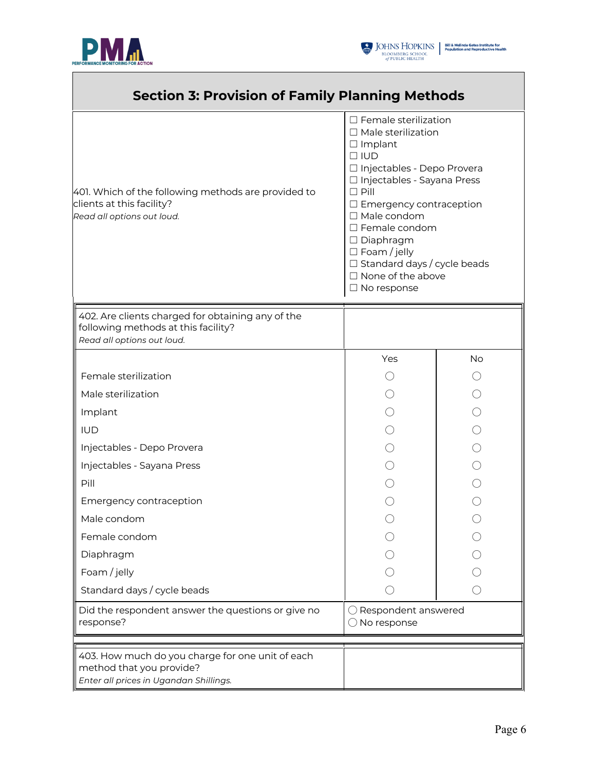

Г



┑

| <b>Section 3: Provision of Family Planning Methods</b>                                                                 |                                                                                                                                                                                                                                                                                                                                                                                                  |           |
|------------------------------------------------------------------------------------------------------------------------|--------------------------------------------------------------------------------------------------------------------------------------------------------------------------------------------------------------------------------------------------------------------------------------------------------------------------------------------------------------------------------------------------|-----------|
| 401. Which of the following methods are provided to<br>clients at this facility?<br>Read all options out loud.         | $\Box$ Female sterilization<br>$\Box$ Male sterilization<br>$\Box$ Implant<br>$\Box$ IUD<br>□ Injectables - Depo Provera<br>□ Injectables - Sayana Press<br>$\Box$ Pill<br>$\Box$ Emergency contraception<br>$\Box$ Male condom<br>$\square$ Female condom<br>$\Box$ Diaphragm<br>$\Box$ Foam / jelly<br>$\Box$ Standard days / cycle beads<br>$\Box$ None of the above<br>$\square$ No response |           |
| 402. Are clients charged for obtaining any of the<br>following methods at this facility?<br>Read all options out loud. |                                                                                                                                                                                                                                                                                                                                                                                                  |           |
|                                                                                                                        | Yes                                                                                                                                                                                                                                                                                                                                                                                              | <b>No</b> |
| Female sterilization                                                                                                   |                                                                                                                                                                                                                                                                                                                                                                                                  |           |
| Male sterilization                                                                                                     |                                                                                                                                                                                                                                                                                                                                                                                                  |           |
| Implant                                                                                                                |                                                                                                                                                                                                                                                                                                                                                                                                  |           |
| <b>IUD</b>                                                                                                             |                                                                                                                                                                                                                                                                                                                                                                                                  |           |
| Injectables - Depo Provera                                                                                             |                                                                                                                                                                                                                                                                                                                                                                                                  |           |
| Injectables - Sayana Press                                                                                             |                                                                                                                                                                                                                                                                                                                                                                                                  |           |
| Pill                                                                                                                   |                                                                                                                                                                                                                                                                                                                                                                                                  |           |
| Emergency contraception                                                                                                |                                                                                                                                                                                                                                                                                                                                                                                                  |           |
| Male condom                                                                                                            |                                                                                                                                                                                                                                                                                                                                                                                                  |           |
| Female condom                                                                                                          |                                                                                                                                                                                                                                                                                                                                                                                                  |           |
| Diaphragm                                                                                                              |                                                                                                                                                                                                                                                                                                                                                                                                  |           |
| Foam / jelly                                                                                                           |                                                                                                                                                                                                                                                                                                                                                                                                  |           |
| Standard days / cycle beads                                                                                            |                                                                                                                                                                                                                                                                                                                                                                                                  |           |
| Did the respondent answer the questions or give no<br>response?                                                        | Respondent answered<br>$\bigcirc$ No response                                                                                                                                                                                                                                                                                                                                                    |           |
| 403. How much do you charge for one unit of each<br>method that you provide?<br>Enter all prices in Ugandan Shillings. |                                                                                                                                                                                                                                                                                                                                                                                                  |           |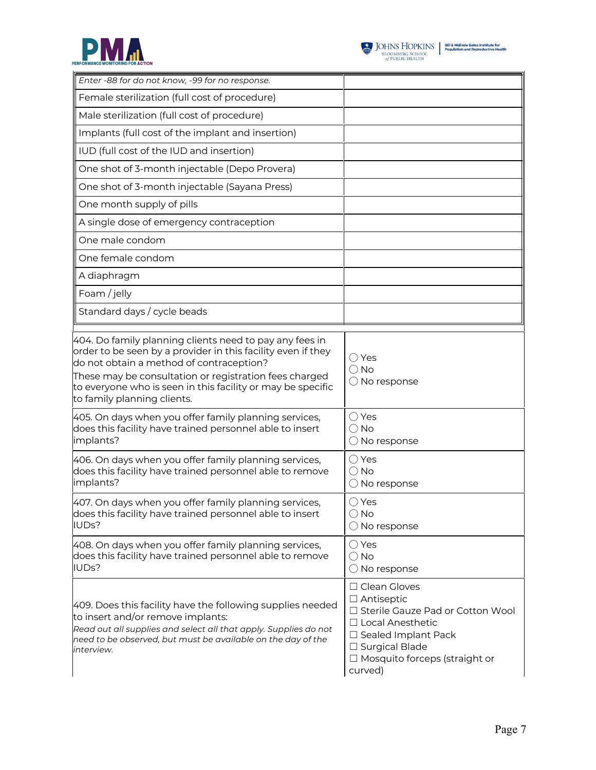



| Enter -88 for do not know, -99 for no response.                                                                                                                                                                                                                                                                             |                                                                                                                                                                                                           |
|-----------------------------------------------------------------------------------------------------------------------------------------------------------------------------------------------------------------------------------------------------------------------------------------------------------------------------|-----------------------------------------------------------------------------------------------------------------------------------------------------------------------------------------------------------|
| Female sterilization (full cost of procedure)                                                                                                                                                                                                                                                                               |                                                                                                                                                                                                           |
| Male sterilization (full cost of procedure)                                                                                                                                                                                                                                                                                 |                                                                                                                                                                                                           |
| Implants (full cost of the implant and insertion)                                                                                                                                                                                                                                                                           |                                                                                                                                                                                                           |
| IUD (full cost of the IUD and insertion)                                                                                                                                                                                                                                                                                    |                                                                                                                                                                                                           |
| One shot of 3-month injectable (Depo Provera)                                                                                                                                                                                                                                                                               |                                                                                                                                                                                                           |
| One shot of 3-month injectable (Sayana Press)                                                                                                                                                                                                                                                                               |                                                                                                                                                                                                           |
| One month supply of pills                                                                                                                                                                                                                                                                                                   |                                                                                                                                                                                                           |
| A single dose of emergency contraception                                                                                                                                                                                                                                                                                    |                                                                                                                                                                                                           |
| One male condom                                                                                                                                                                                                                                                                                                             |                                                                                                                                                                                                           |
| One female condom                                                                                                                                                                                                                                                                                                           |                                                                                                                                                                                                           |
| A diaphragm                                                                                                                                                                                                                                                                                                                 |                                                                                                                                                                                                           |
| Foam / jelly                                                                                                                                                                                                                                                                                                                |                                                                                                                                                                                                           |
| Standard days / cycle beads                                                                                                                                                                                                                                                                                                 |                                                                                                                                                                                                           |
| 404. Do family planning clients need to pay any fees in<br>order to be seen by a provider in this facility even if they<br>do not obtain a method of contraception?<br>These may be consultation or registration fees charged<br>to everyone who is seen in this facility or may be specific<br>to family planning clients. | $\bigcirc$ Yes<br>$\bigcirc$ No<br>$\bigcirc$ No response                                                                                                                                                 |
| 405. On days when you offer family planning services,<br>does this facility have trained personnel able to insert<br>implants?                                                                                                                                                                                              | $\bigcirc$ Yes<br>$\bigcirc$ No<br>$\bigcirc$ No response                                                                                                                                                 |
| 406. On days when you offer family planning services,<br>does this facility have trained personnel able to remove<br>implants?                                                                                                                                                                                              | $\bigcirc$ Yes<br>$\bigcirc$ No<br>$\bigcirc$ No response                                                                                                                                                 |
| 407. On days when you offer family planning services,<br>does this facility have trained personnel able to insert<br>IUDs?                                                                                                                                                                                                  | $\bigcirc$ Yes<br>$\bigcirc$ No<br>$\bigcirc$ No response                                                                                                                                                 |
| 408. On days when you offer family planning services,<br>does this facility have trained personnel able to remove<br>IUDs?                                                                                                                                                                                                  | $\bigcirc$ Yes<br>$\bigcirc$ No<br>$\bigcirc$ No response                                                                                                                                                 |
| 409. Does this facility have the following supplies needed<br>to insert and/or remove implants:<br>Read out all supplies and select all that apply. Supplies do not<br>need to be observed, but must be available on the day of the<br>interview.                                                                           | $\Box$ Clean Gloves<br>$\Box$ Antiseptic<br>□ Sterile Gauze Pad or Cotton Wool<br>$\Box$ Local Anesthetic<br>□ Sealed Implant Pack<br>$\Box$ Surgical Blade<br>□ Mosquito forceps (straight or<br>curved) |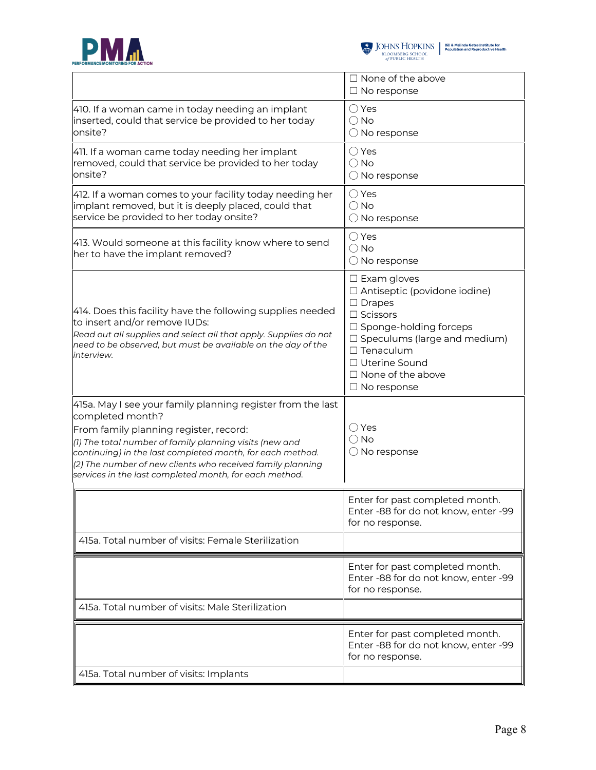



|                                                                                                                                                                                                                                                                                                                                                                           | $\Box$ None of the above<br>$\Box$ No response                                                                                                                                                                                                                         |
|---------------------------------------------------------------------------------------------------------------------------------------------------------------------------------------------------------------------------------------------------------------------------------------------------------------------------------------------------------------------------|------------------------------------------------------------------------------------------------------------------------------------------------------------------------------------------------------------------------------------------------------------------------|
| 410. If a woman came in today needing an implant<br>inserted, could that service be provided to her today<br>onsite?                                                                                                                                                                                                                                                      | $\bigcirc$ Yes<br>$\bigcirc$ No<br>$\bigcirc$ No response                                                                                                                                                                                                              |
| 411. If a woman came today needing her implant<br>removed, could that service be provided to her today<br>onsite?                                                                                                                                                                                                                                                         | $\bigcirc$ Yes<br>$\bigcirc$ No<br>$\bigcirc$ No response                                                                                                                                                                                                              |
| 412. If a woman comes to your facility today needing her<br>implant removed, but it is deeply placed, could that<br>service be provided to her today onsite?                                                                                                                                                                                                              | $\bigcirc$ Yes<br>$\bigcirc$ No<br>$\bigcirc$ No response                                                                                                                                                                                                              |
| 413. Would someone at this facility know where to send<br>her to have the implant removed?                                                                                                                                                                                                                                                                                | $\bigcirc$ Yes<br>$\bigcirc$ No<br>$\bigcirc$ No response                                                                                                                                                                                                              |
| 414. Does this facility have the following supplies needed<br>to insert and/or remove IUDs:<br>Read out all supplies and select all that apply. Supplies do not<br>need to be observed, but must be available on the day of the<br>interview.                                                                                                                             | $\square$ Exam gloves<br>$\Box$ Antiseptic (povidone iodine)<br>$\Box$ Drapes<br>$\Box$ Scissors<br>$\Box$ Sponge-holding forceps<br>$\Box$ Speculums (large and medium)<br>$\Box$ Tenaculum<br>$\Box$ Uterine Sound<br>$\Box$ None of the above<br>$\Box$ No response |
| 415a. May I see your family planning register from the last<br>completed month?<br>From family planning register, record:<br>(1) The total number of family planning visits (new and<br>continuing) in the last completed month, for each method.<br>(2) The number of new clients who received family planning<br>services in the last completed month, for each method. | $\bigcirc$ Yes<br>$\bigcirc$ No<br>$\bigcirc$ No response                                                                                                                                                                                                              |
|                                                                                                                                                                                                                                                                                                                                                                           | Enter for past completed month.<br>Enter -88 for do not know, enter -99<br>for no response.                                                                                                                                                                            |
| 415a. Total number of visits: Female Sterilization                                                                                                                                                                                                                                                                                                                        |                                                                                                                                                                                                                                                                        |
|                                                                                                                                                                                                                                                                                                                                                                           | Enter for past completed month.<br>Enter -88 for do not know, enter -99<br>for no response.                                                                                                                                                                            |
| 415a. Total number of visits: Male Sterilization                                                                                                                                                                                                                                                                                                                          |                                                                                                                                                                                                                                                                        |
|                                                                                                                                                                                                                                                                                                                                                                           | Enter for past completed month.<br>Enter -88 for do not know, enter -99<br>for no response.                                                                                                                                                                            |
| 415a. Total number of visits: Implants                                                                                                                                                                                                                                                                                                                                    |                                                                                                                                                                                                                                                                        |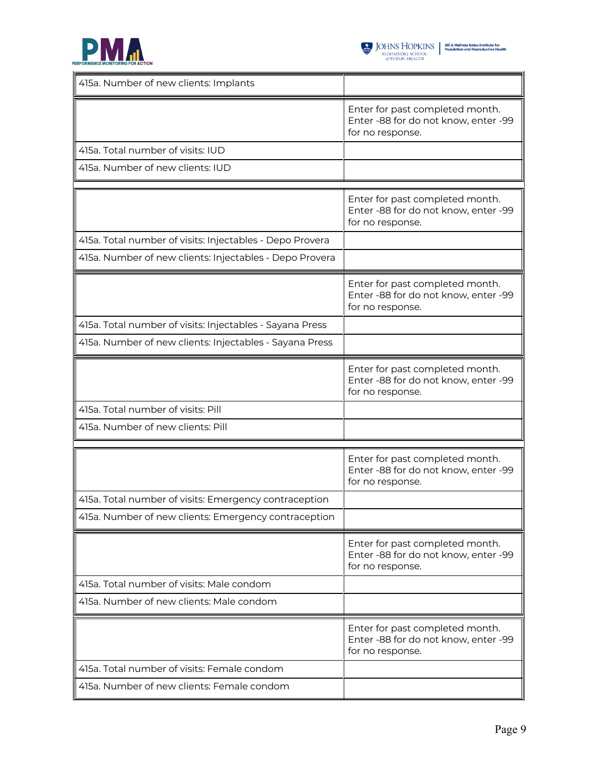



| 415a. Number of new clients: Implants                    |                                                                                             |
|----------------------------------------------------------|---------------------------------------------------------------------------------------------|
|                                                          | Enter for past completed month.<br>Enter -88 for do not know, enter -99<br>for no response. |
| 415a. Total number of visits: IUD                        |                                                                                             |
| 415a. Number of new clients: IUD                         |                                                                                             |
|                                                          |                                                                                             |
|                                                          | Enter for past completed month.<br>Enter -88 for do not know, enter -99<br>for no response. |
| 415a. Total number of visits: Injectables - Depo Provera |                                                                                             |
| 415a. Number of new clients: Injectables - Depo Provera  |                                                                                             |
|                                                          | Enter for past completed month.<br>Enter -88 for do not know, enter -99<br>for no response. |
| 415a. Total number of visits: Injectables - Sayana Press |                                                                                             |
| 415a. Number of new clients: Injectables - Sayana Press  |                                                                                             |
|                                                          | Enter for past completed month.<br>Enter -88 for do not know, enter -99<br>for no response. |
| 415a. Total number of visits: Pill                       |                                                                                             |
| 415a. Number of new clients: Pill                        |                                                                                             |
|                                                          |                                                                                             |
|                                                          | Enter for past completed month.<br>Enter -88 for do not know, enter -99<br>for no response. |
| 415a. Total number of visits: Emergency contraception    |                                                                                             |
| 415a. Number of new clients: Emergency contraception     |                                                                                             |
|                                                          | Enter for past completed month.<br>Enter -88 for do not know, enter -99<br>for no response. |
| 415a. Total number of visits: Male condom                |                                                                                             |
| 415a. Number of new clients: Male condom                 |                                                                                             |
|                                                          | Enter for past completed month.<br>Enter -88 for do not know, enter -99<br>for no response. |
| 415a. Total number of visits: Female condom              |                                                                                             |
| 415a. Number of new clients: Female condom               |                                                                                             |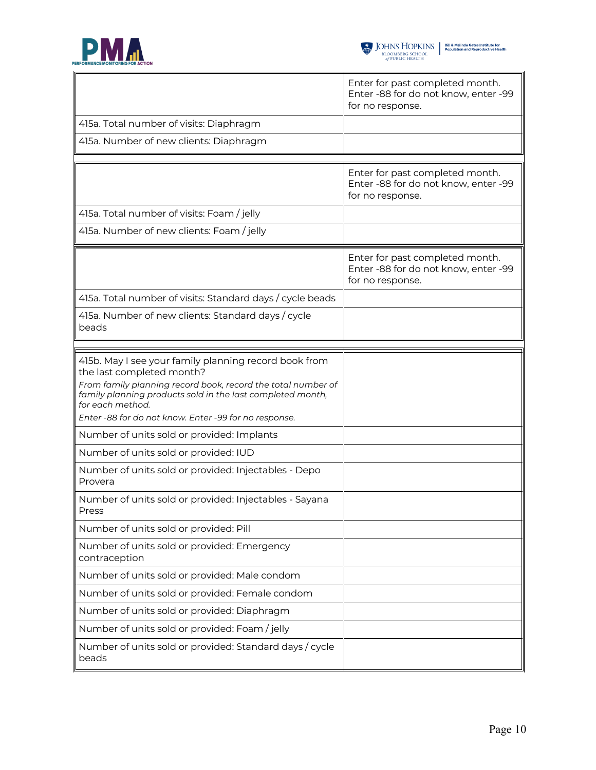



|                                                                                                                                                                                                                                      | Enter for past completed month.<br>Enter -88 for do not know, enter -99<br>for no response. |
|--------------------------------------------------------------------------------------------------------------------------------------------------------------------------------------------------------------------------------------|---------------------------------------------------------------------------------------------|
| $\parallel$ 415a. Total number of visits: Diaphragm                                                                                                                                                                                  |                                                                                             |
| 415a. Number of new clients: Diaphragm                                                                                                                                                                                               |                                                                                             |
|                                                                                                                                                                                                                                      |                                                                                             |
|                                                                                                                                                                                                                                      | Enter for past completed month.<br>Enter -88 for do not know, enter -99<br>for no response. |
| 415a. Total number of visits: Foam / jelly                                                                                                                                                                                           |                                                                                             |
| 415a. Number of new clients: Foam / jelly                                                                                                                                                                                            |                                                                                             |
|                                                                                                                                                                                                                                      | Enter for past completed month.<br>Enter -88 for do not know, enter -99<br>for no response. |
| $\parallel$ 415a. Total number of visits: Standard days / cycle beads                                                                                                                                                                |                                                                                             |
| $\parallel$ 415a. Number of new clients: Standard days / cycle<br>beads                                                                                                                                                              |                                                                                             |
|                                                                                                                                                                                                                                      |                                                                                             |
| 415b. May I see your family planning record book from<br>the last completed month?<br>From family planning record book, record the total number of<br>family planning products sold in the last completed month,<br>for each method. |                                                                                             |
| Enter -88 for do not know. Enter -99 for no response.<br>Number of units sold or provided: Implants                                                                                                                                  |                                                                                             |
| Number of units sold or provided: IUD                                                                                                                                                                                                |                                                                                             |
| Number of units sold or provided: Injectables - Depo<br>Provera                                                                                                                                                                      |                                                                                             |
| Number of units sold or provided: Injectables - Sayana<br>D<br>$\mathsf{Press}$                                                                                                                                                      |                                                                                             |
| Number of units sold or provided: Pill                                                                                                                                                                                               |                                                                                             |
| Number of units sold or provided: Emergency<br>contraception                                                                                                                                                                         |                                                                                             |
| Number of units sold or provided: Male condom                                                                                                                                                                                        |                                                                                             |
| Number of units sold or provided: Female condom                                                                                                                                                                                      |                                                                                             |
| Number of units sold or provided: Diaphragm                                                                                                                                                                                          |                                                                                             |
| Number of units sold or provided: Foam / jelly                                                                                                                                                                                       |                                                                                             |
| Number of units sold or provided: Standard days / cycle<br>beads                                                                                                                                                                     |                                                                                             |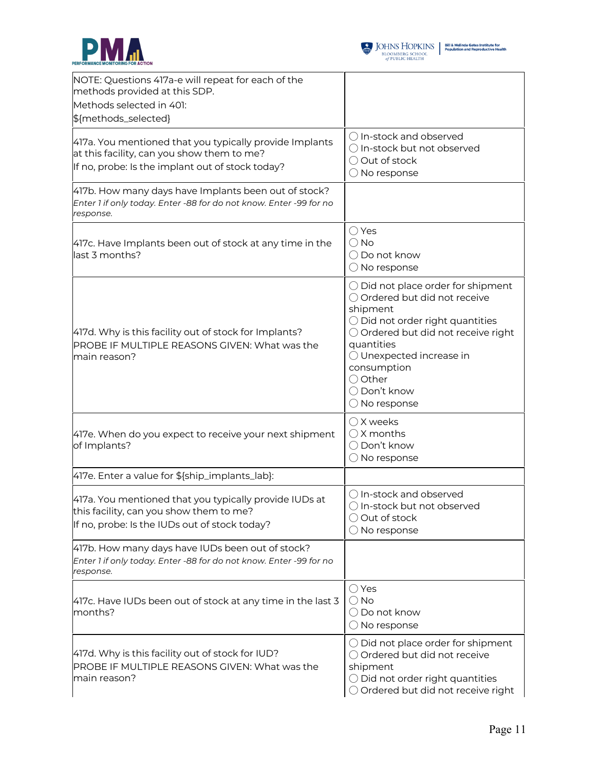



| NOTE: Questions 417a-e will repeat for each of the<br>methods provided at this SDP.<br>Methods selected in 401:<br>\${methods_selected}                   |                                                                                                                                                                                                                                                                                            |
|-----------------------------------------------------------------------------------------------------------------------------------------------------------|--------------------------------------------------------------------------------------------------------------------------------------------------------------------------------------------------------------------------------------------------------------------------------------------|
| 417a. You mentioned that you typically provide Implants<br>at this facility, can you show them to me?<br>If no, probe: Is the implant out of stock today? | ○ In-stock and observed<br>O In-stock but not observed<br>O Out of stock<br>$\bigcirc$ No response                                                                                                                                                                                         |
| 417b. How many days have Implants been out of stock?<br>Enter 1 if only today. Enter -88 for do not know. Enter -99 for no<br>response.                   |                                                                                                                                                                                                                                                                                            |
| 417c. Have Implants been out of stock at any time in the<br>last 3 months?                                                                                | $\bigcirc$ Yes<br>$\bigcirc$ No<br>◯ Do not know<br>$\bigcirc$ No response                                                                                                                                                                                                                 |
| 417d. Why is this facility out of stock for Implants?<br>PROBE IF MULTIPLE REASONS GIVEN: What was the<br>main reason?                                    | $\bigcirc$ Did not place order for shipment<br>○ Ordered but did not receive<br>shipment<br>$\bigcirc$ Did not order right quantities<br>O Ordered but did not receive right<br>quantities<br>O Unexpected increase in<br>consumption<br>○ Other<br>◯ Don't know<br>$\bigcirc$ No response |
| 417e. When do you expect to receive your next shipment<br>of Implants?                                                                                    | $\bigcirc$ X weeks<br>$\bigcirc$ X months<br>◯ Don't know<br>$\bigcirc$ No response                                                                                                                                                                                                        |
| 417e. Enter a value for \${ship_implants_lab}:                                                                                                            |                                                                                                                                                                                                                                                                                            |
| 417a. You mentioned that you typically provide IUDs at<br>this facility, can you show them to me?<br>If no, probe: Is the IUDs out of stock today?        | ◯ In-stock and observed<br>○ In-stock but not observed<br>◯ Out of stock<br>$\bigcirc$ No response                                                                                                                                                                                         |
| 417b. How many days have IUDs been out of stock?<br>Enter 1 if only today. Enter -88 for do not know. Enter -99 for no<br>response.                       |                                                                                                                                                                                                                                                                                            |
| 417c. Have IUDs been out of stock at any time in the last 3<br>months?                                                                                    | $\bigcirc$ Yes<br>$\bigcirc$ No<br>◯ Do not know<br>$\bigcirc$ No response                                                                                                                                                                                                                 |
| 417d. Why is this facility out of stock for IUD?<br>PROBE IF MULTIPLE REASONS GIVEN: What was the<br>main reason?                                         | $\bigcirc$ Did not place order for shipment<br>○ Ordered but did not receive<br>shipment<br>$\bigcirc$ Did not order right quantities<br>○ Ordered but did not receive right                                                                                                               |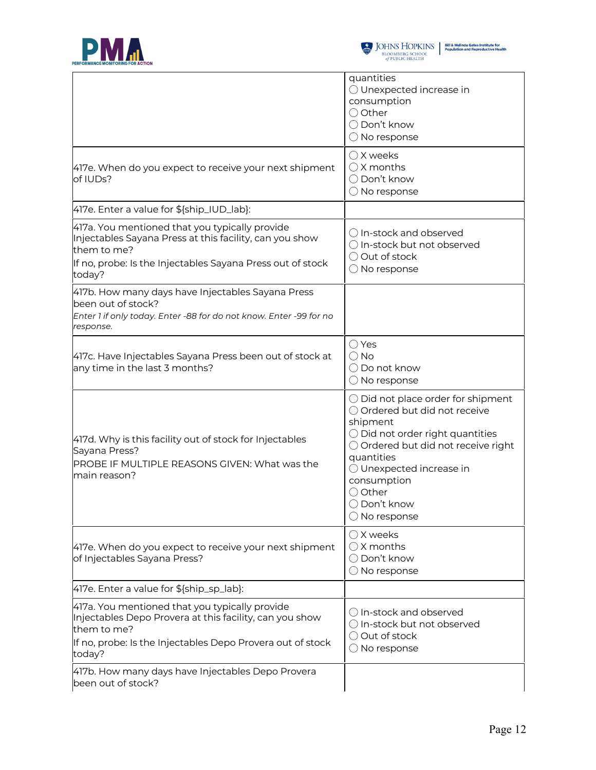



|                                                                                                                                                                                                  | quantities<br>○ Unexpected increase in<br>consumption<br>○ Other<br>◯ Don't know<br>$\bigcirc$ No response                                                                                                                                                                                 |
|--------------------------------------------------------------------------------------------------------------------------------------------------------------------------------------------------|--------------------------------------------------------------------------------------------------------------------------------------------------------------------------------------------------------------------------------------------------------------------------------------------|
| 417e. When do you expect to receive your next shipment<br>of IUDs?                                                                                                                               | $\bigcirc$ X weeks<br>$\bigcirc$ X months<br>◯ Don't know<br>$\bigcirc$ No response                                                                                                                                                                                                        |
| 417e. Enter a value for \${ship_IUD_lab}:                                                                                                                                                        |                                                                                                                                                                                                                                                                                            |
| 417a. You mentioned that you typically provide<br>Injectables Sayana Press at this facility, can you show<br>them to me?<br>If no, probe: Is the Injectables Sayana Press out of stock<br>today? | ◯ In-stock and observed<br>○ In-stock but not observed<br>○ Out of stock<br>$\bigcirc$ No response                                                                                                                                                                                         |
| 417b. How many days have Injectables Sayana Press<br>been out of stock?<br>Enter 1 if only today. Enter -88 for do not know. Enter -99 for no<br>response.                                       |                                                                                                                                                                                                                                                                                            |
| 417c. Have Injectables Sayana Press been out of stock at<br>any time in the last 3 months?                                                                                                       | $\bigcirc$ Yes<br>$\bigcirc$ No<br>◯ Do not know<br>$\bigcirc$ No response                                                                                                                                                                                                                 |
| 417d. Why is this facility out of stock for Injectables<br>Sayana Press?<br>PROBE IF MULTIPLE REASONS GIVEN: What was the<br>main reason?                                                        | $\bigcirc$ Did not place order for shipment<br>○ Ordered but did not receive<br>shipment<br>$\bigcirc$ Did not order right quantities<br>O Ordered but did not receive right<br>quantities<br>◯ Unexpected increase in<br>consumption<br>○ Other<br>◯ Don't know<br>$\bigcirc$ No response |
| 417e. When do you expect to receive your next shipment<br>of Injectables Sayana Press?                                                                                                           | $\bigcirc$ X weeks<br>$\bigcirc$ X months<br>◯ Don't know<br>$\bigcirc$ No response                                                                                                                                                                                                        |
| 417e. Enter a value for \${ship_sp_lab}:                                                                                                                                                         |                                                                                                                                                                                                                                                                                            |
| 417a. You mentioned that you typically provide<br>Injectables Depo Provera at this facility, can you show<br>them to me?<br>If no, probe: Is the Injectables Depo Provera out of stock<br>today? | $\bigcirc$ In-stock and observed<br>◯ In-stock but not observed<br>○ Out of stock<br>$\bigcirc$ No response                                                                                                                                                                                |
| 417b. How many days have Injectables Depo Provera<br>been out of stock?                                                                                                                          |                                                                                                                                                                                                                                                                                            |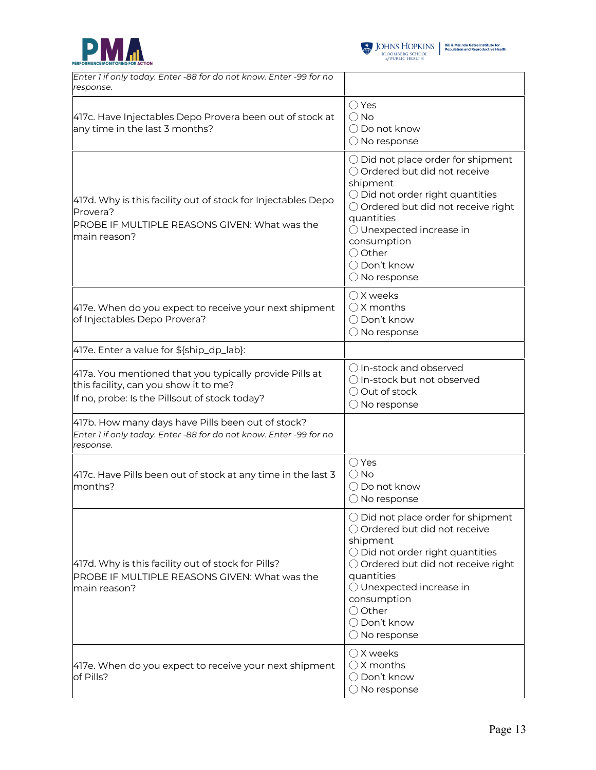



| Enter 1 if only today. Enter -88 for do not know. Enter -99 for no<br>response.                                                                   |                                                                                                                                                                                                                                                                                            |
|---------------------------------------------------------------------------------------------------------------------------------------------------|--------------------------------------------------------------------------------------------------------------------------------------------------------------------------------------------------------------------------------------------------------------------------------------------|
| 417c. Have Injectables Depo Provera been out of stock at<br>any time in the last 3 months?                                                        | $\bigcirc$ Yes<br>$\bigcirc$ No<br>$\bigcirc$ Do not know<br>$\bigcirc$ No response                                                                                                                                                                                                        |
| 417d. Why is this facility out of stock for Injectables Depo<br>Provera?<br>PROBE IF MULTIPLE REASONS GIVEN: What was the<br>main reason?         | $\bigcirc$ Did not place order for shipment<br>○ Ordered but did not receive<br>shipment<br>$\bigcirc$ Did not order right quantities<br>○ Ordered but did not receive right<br>quantities<br>◯ Unexpected increase in<br>consumption<br>○ Other<br>◯ Don't know<br>$\bigcirc$ No response |
| 417e. When do you expect to receive your next shipment<br>of Injectables Depo Provera?                                                            | $\bigcirc$ X weeks<br>$\bigcirc$ X months<br>◯ Don't know<br>$\bigcirc$ No response                                                                                                                                                                                                        |
| 417e. Enter a value for \${ship_dp_lab}:                                                                                                          |                                                                                                                                                                                                                                                                                            |
| 417a. You mentioned that you typically provide Pills at<br>this facility, can you show it to me?<br>If no, probe: Is the Pillsout of stock today? | ◯ In-stock and observed<br>◯ In-stock but not observed<br>O Out of stock<br>$\bigcirc$ No response                                                                                                                                                                                         |
| 417b. How many days have Pills been out of stock?<br>Enter 1 if only today. Enter -88 for do not know. Enter -99 for no<br>response.              |                                                                                                                                                                                                                                                                                            |
| 417c. Have Pills been out of stock at any time in the last 3<br>months?                                                                           | $\bigcirc$ Yes<br>$\bigcirc$ No<br>$\bigcirc$ Do not know<br>$\bigcirc$ No response                                                                                                                                                                                                        |
| 417d. Why is this facility out of stock for Pills?<br>PROBE IF MULTIPLE REASONS GIVEN: What was the<br>main reason?                               | $\bigcirc$ Did not place order for shipment<br>○ Ordered but did not receive<br>shipment<br>O Did not order right quantities<br>○ Ordered but did not receive right<br>quantities<br>◯ Unexpected increase in<br>consumption<br>○ Other<br>◯ Don't know<br>$\bigcirc$ No response          |
| 417e. When do you expect to receive your next shipment<br>of Pills?                                                                               | $\bigcirc$ X weeks<br>$\bigcirc$ X months<br>◯ Don't know<br>$\bigcirc$ No response                                                                                                                                                                                                        |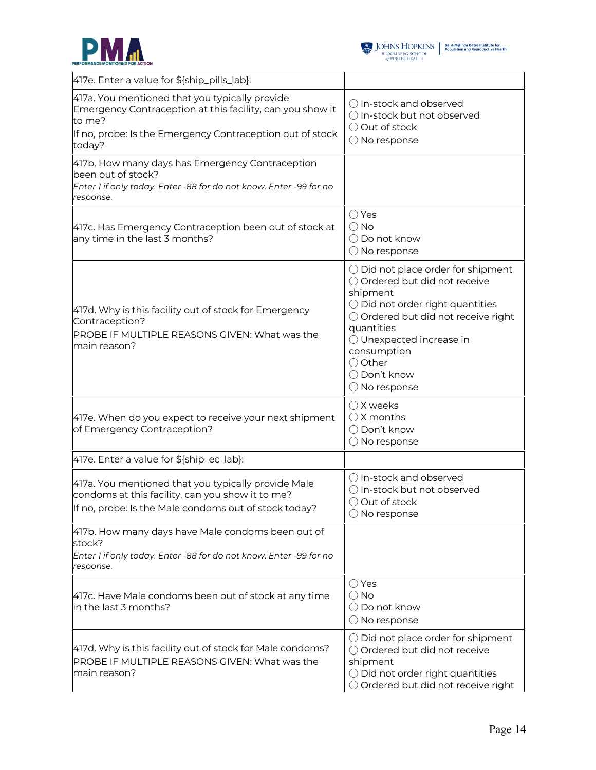



| 417e. Enter a value for \${ship_pills_lab}:                                                                                                                                                  |                                                                                                                                                                                                                                                                                            |
|----------------------------------------------------------------------------------------------------------------------------------------------------------------------------------------------|--------------------------------------------------------------------------------------------------------------------------------------------------------------------------------------------------------------------------------------------------------------------------------------------|
| 417a. You mentioned that you typically provide<br>Emergency Contraception at this facility, can you show it<br>to me?<br>If no, probe: Is the Emergency Contraception out of stock<br>today? | ◯ In-stock and observed<br>○ In-stock but not observed<br>O Out of stock<br>O No response                                                                                                                                                                                                  |
| 417b. How many days has Emergency Contraception<br>been out of stock?<br>Enter 1 if only today. Enter -88 for do not know. Enter -99 for no<br>response.                                     |                                                                                                                                                                                                                                                                                            |
| 417c. Has Emergency Contraception been out of stock at<br>any time in the last 3 months?                                                                                                     | $\bigcirc$ Yes<br>$\bigcirc$ No<br>◯ Do not know<br>$\bigcirc$ No response                                                                                                                                                                                                                 |
| 417d. Why is this facility out of stock for Emergency<br>Contraception?<br>PROBE IF MULTIPLE REASONS GIVEN: What was the<br>main reason?                                                     | $\bigcirc$ Did not place order for shipment<br>○ Ordered but did not receive<br>shipment<br>$\bigcirc$ Did not order right quantities<br>○ Ordered but did not receive right<br>quantities<br>O Unexpected increase in<br>consumption<br>◯ Other<br>◯ Don't know<br>$\bigcirc$ No response |
| 417e. When do you expect to receive your next shipment<br>of Emergency Contraception?                                                                                                        | $\bigcirc$ X weeks<br>$\bigcirc$ X months<br>◯ Don't know<br>$\bigcirc$ No response                                                                                                                                                                                                        |
| 417e. Enter a value for \${ship_ec_lab}:                                                                                                                                                     |                                                                                                                                                                                                                                                                                            |
| 417a. You mentioned that you typically provide Male<br>condoms at this facility, can you show it to me?<br>If no, probe: Is the Male condoms out of stock today?                             | ◯ In-stock and observed<br>○ In-stock but not observed<br>O Out of stock<br>$\bigcirc$ No response                                                                                                                                                                                         |
| 417b. How many days have Male condoms been out of<br>stock?<br>Enter 1 if only today. Enter -88 for do not know. Enter -99 for no<br>response.                                               |                                                                                                                                                                                                                                                                                            |
| 417c. Have Male condoms been out of stock at any time<br>in the last 3 months?                                                                                                               | $\bigcirc$ Yes<br>$\bigcirc$ No<br>◯ Do not know<br>$\bigcirc$ No response                                                                                                                                                                                                                 |
| 417d. Why is this facility out of stock for Male condoms?<br>PROBE IF MULTIPLE REASONS GIVEN: What was the<br>main reason?                                                                   | $\bigcirc$ Did not place order for shipment<br>○ Ordered but did not receive<br>shipment<br>$\bigcirc$ Did not order right quantities<br>O Ordered but did not receive right                                                                                                               |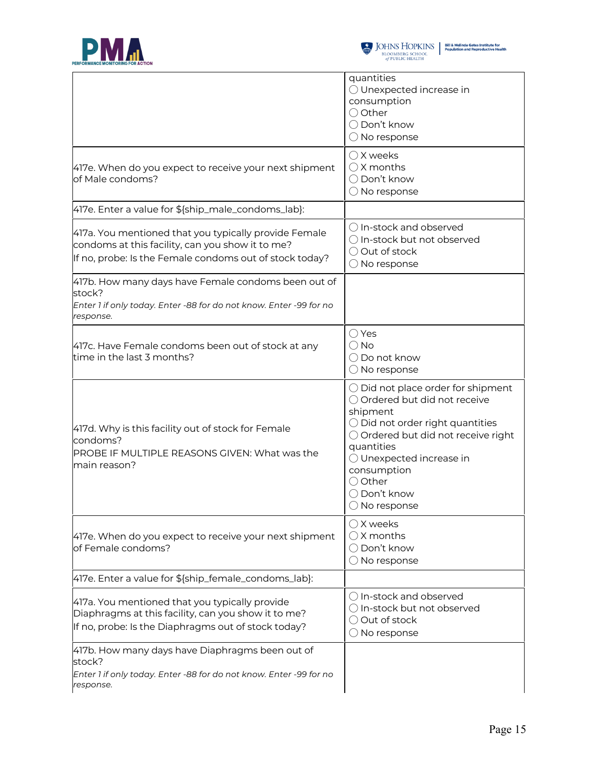



|                                                                                                                                                                      | quantities<br>O Unexpected increase in<br>consumption<br>◯ Other<br>◯ Don't know<br>$\bigcirc$ No response                                                                                                                                                                                          |
|----------------------------------------------------------------------------------------------------------------------------------------------------------------------|-----------------------------------------------------------------------------------------------------------------------------------------------------------------------------------------------------------------------------------------------------------------------------------------------------|
| 417e. When do you expect to receive your next shipment<br>of Male condoms?                                                                                           | $\bigcirc$ X weeks<br>$\bigcirc$ X months<br>◯ Don't know<br>$\bigcirc$ No response                                                                                                                                                                                                                 |
| 417e. Enter a value for \${ship_male_condoms_lab}:                                                                                                                   |                                                                                                                                                                                                                                                                                                     |
| 417a. You mentioned that you typically provide Female<br>condoms at this facility, can you show it to me?<br>If no, probe: Is the Female condoms out of stock today? | O In-stock and observed<br>$\bigcirc$ In-stock but not observed<br>O Out of stock<br>$\bigcirc$ No response                                                                                                                                                                                         |
| 417b. How many days have Female condoms been out of<br>stock?<br>Enter 1 if only today. Enter -88 for do not know. Enter -99 for no<br>response.                     |                                                                                                                                                                                                                                                                                                     |
| 417c. Have Female condoms been out of stock at any<br>time in the last 3 months?                                                                                     | $\bigcirc$ Yes<br>$\bigcirc$ No<br>$\bigcirc$ Do not know<br>$\bigcirc$ No response                                                                                                                                                                                                                 |
| 417d. Why is this facility out of stock for Female<br>condoms?<br>PROBE IF MULTIPLE REASONS GIVEN: What was the<br>main reason?                                      | $\bigcirc$ Did not place order for shipment<br>○ Ordered but did not receive<br>shipment<br>$\bigcirc$ Did not order right quantities<br>O Ordered but did not receive right<br>quantities<br>O Unexpected increase in<br>consumption<br>○ Other<br>$\bigcirc$ Don't know<br>$\bigcirc$ No response |
| 417e. When do you expect to receive your next shipment<br>of Female condoms?                                                                                         | $\bigcirc$ X weeks<br>$\bigcirc$ X months<br>◯ Don't know<br>$\bigcirc$ No response                                                                                                                                                                                                                 |
| 417e. Enter a value for \${ship_female_condoms_lab}:                                                                                                                 |                                                                                                                                                                                                                                                                                                     |
| 417a. You mentioned that you typically provide<br>Diaphragms at this facility, can you show it to me?<br>If no, probe: Is the Diaphragms out of stock today?         | O In-stock and observed<br>$\bigcirc$ In-stock but not observed<br>◯ Out of stock<br>$\bigcirc$ No response                                                                                                                                                                                         |
| 417b. How many days have Diaphragms been out of<br>stock?<br>Enter 1 if only today. Enter -88 for do not know. Enter -99 for no<br>response.                         |                                                                                                                                                                                                                                                                                                     |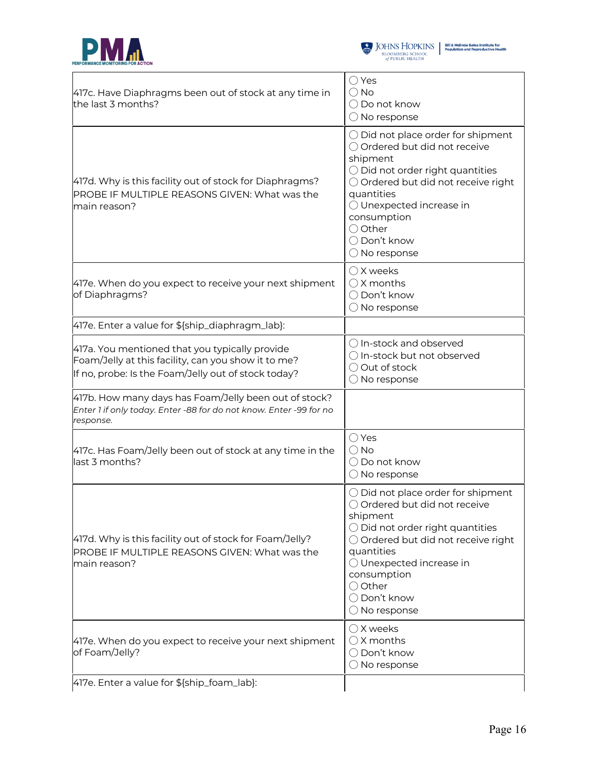



| 417c. Have Diaphragms been out of stock at any time in<br>the last 3 months?                                                                                 | $\bigcirc$ Yes<br>$\bigcirc$ No<br>$\bigcirc$ Do not know<br>$\bigcirc$ No response                                                                                                                                                                                                        |
|--------------------------------------------------------------------------------------------------------------------------------------------------------------|--------------------------------------------------------------------------------------------------------------------------------------------------------------------------------------------------------------------------------------------------------------------------------------------|
| 417d. Why is this facility out of stock for Diaphragms?<br><b>PROBE IF MULTIPLE REASONS GIVEN: What was the</b><br>main reason?                              | $\bigcirc$ Did not place order for shipment<br>○ Ordered but did not receive<br>shipment<br>O Did not order right quantities<br>○ Ordered but did not receive right<br>quantities<br>○ Unexpected increase in<br>consumption<br>○ Other<br>◯ Don't know<br>$\bigcirc$ No response          |
| 417e. When do you expect to receive your next shipment<br>of Diaphragms?                                                                                     | $\bigcirc$ X weeks<br>$\bigcirc$ X months<br>◯ Don't know<br>$\bigcirc$ No response                                                                                                                                                                                                        |
| 417e. Enter a value for \${ship_diaphragm_lab}:                                                                                                              |                                                                                                                                                                                                                                                                                            |
| 417a. You mentioned that you typically provide<br>Foam/Jelly at this facility, can you show it to me?<br>If no, probe: Is the Foam/Jelly out of stock today? | ○ In-stock and observed<br>○ In-stock but not observed<br>○ Out of stock<br>$\bigcirc$ No response                                                                                                                                                                                         |
| 417b. How many days has Foam/Jelly been out of stock?<br>Enter 1 if only today. Enter -88 for do not know. Enter -99 for no<br>response.                     |                                                                                                                                                                                                                                                                                            |
| 417c. Has Foam/Jelly been out of stock at any time in the<br>last 3 months?                                                                                  | $\bigcirc$ Yes<br>$\bigcirc$ No<br>$\bigcirc$ Do not know<br>$\bigcirc$ No response                                                                                                                                                                                                        |
| 417d. Why is this facility out of stock for Foam/Jelly?<br>PROBE IF MULTIPLE REASONS GIVEN: What was the<br>main reason?                                     | $\bigcirc$ Did not place order for shipment<br>○ Ordered but did not receive<br>shipment<br>$\bigcirc$ Did not order right quantities<br>○ Ordered but did not receive right<br>quantities<br>○ Unexpected increase in<br>consumption<br>◯ Other<br>◯ Don't know<br>$\bigcirc$ No response |
| 417e. When do you expect to receive your next shipment<br>of Foam/Jelly?                                                                                     | $\bigcirc$ X weeks<br>$\bigcirc$ X months<br>◯ Don't know<br>$\bigcirc$ No response                                                                                                                                                                                                        |
| 417e. Enter a value for \${ship_foam_lab}:                                                                                                                   |                                                                                                                                                                                                                                                                                            |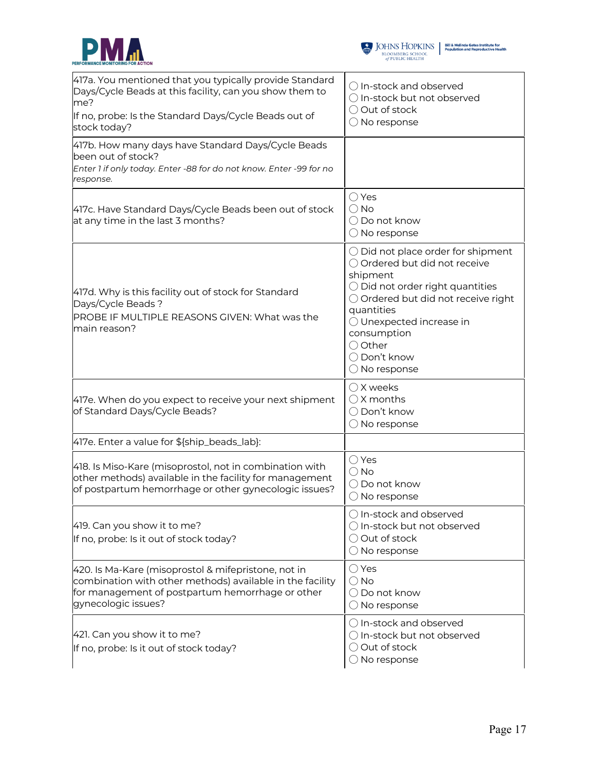



| 417a. You mentioned that you typically provide Standard<br>Days/Cycle Beads at this facility, can you show them to<br>me?<br>If no, probe: Is the Standard Days/Cycle Beads out of<br>stock today? | $\bigcirc$ In-stock and observed<br>○ In-stock but not observed<br>O Out of stock<br>$\bigcirc$ No response                                                                                                                                                                                |
|----------------------------------------------------------------------------------------------------------------------------------------------------------------------------------------------------|--------------------------------------------------------------------------------------------------------------------------------------------------------------------------------------------------------------------------------------------------------------------------------------------|
| 417b. How many days have Standard Days/Cycle Beads<br>been out of stock?<br>Enter 1 if only today. Enter -88 for do not know. Enter -99 for no<br>response.                                        |                                                                                                                                                                                                                                                                                            |
| 417c. Have Standard Days/Cycle Beads been out of stock<br>at any time in the last 3 months?                                                                                                        | $\bigcirc$ Yes<br>$\bigcirc$ No<br>◯ Do not know<br>$\bigcirc$ No response                                                                                                                                                                                                                 |
| 417d. Why is this facility out of stock for Standard<br>Days/Cycle Beads?<br>PROBE IF MULTIPLE REASONS GIVEN: What was the<br>main reason?                                                         | $\bigcirc$ Did not place order for shipment<br>○ Ordered but did not receive<br>shipment<br>$\bigcirc$ Did not order right quantities<br>○ Ordered but did not receive right<br>quantities<br>◯ Unexpected increase in<br>consumption<br>○ Other<br>◯ Don't know<br>$\bigcirc$ No response |
| 417e. When do you expect to receive your next shipment<br>of Standard Days/Cycle Beads?                                                                                                            | $\bigcirc$ X weeks<br>$\bigcirc$ X months<br>◯ Don't know<br>$\bigcirc$ No response                                                                                                                                                                                                        |
| 417e. Enter a value for \${ship_beads_lab}:                                                                                                                                                        |                                                                                                                                                                                                                                                                                            |
| 418. Is Miso-Kare (misoprostol, not in combination with<br>other methods) available in the facility for management<br>of postpartum hemorrhage or other gynecologic issues?                        | $\bigcirc$ Yes<br>$\bigcirc$ No<br>◯ Do not know<br>$\bigcirc$ No response                                                                                                                                                                                                                 |
| 419. Can you show it to me?<br>If no, probe: Is it out of stock today?                                                                                                                             | O In-stock and observed<br>$\bigcirc$ In-stock but not observed<br>○ Out of stock<br>$\bigcirc$ No response                                                                                                                                                                                |
| 420. Is Ma-Kare (misoprostol & mifepristone, not in<br>combination with other methods) available in the facility<br>for management of postpartum hemorrhage or other<br>gynecologic issues?        | $\bigcirc$ Yes<br>$\bigcirc$ No<br>◯ Do not know<br>$\bigcirc$ No response                                                                                                                                                                                                                 |
| 421. Can you show it to me?<br>If no, probe: Is it out of stock today?                                                                                                                             | $\bigcirc$ In-stock and observed<br>O In-stock but not observed<br>○ Out of stock<br>$\bigcirc$ No response                                                                                                                                                                                |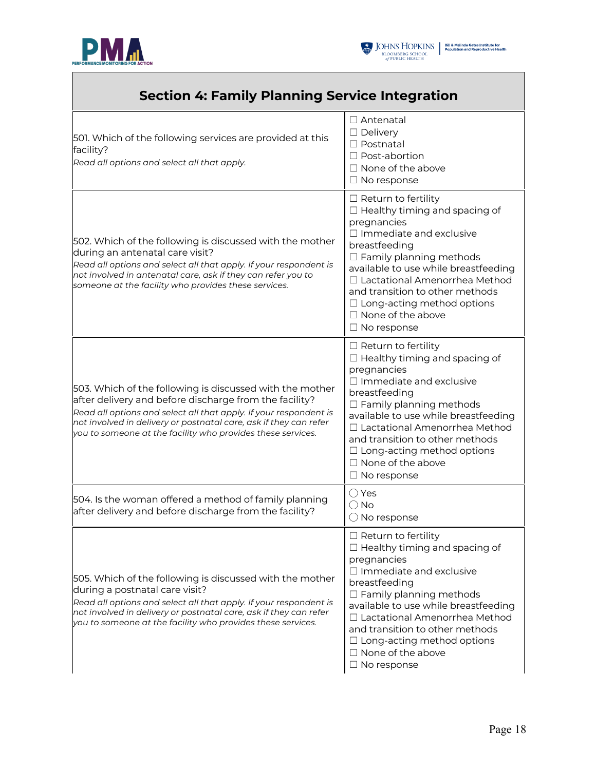

Г



┑

| <b>Section 4: Family Planning Service Integration</b>                                                                                                                                                                                                                                                                       |                                                                                                                                                                                                                                                                                                                                                                             |
|-----------------------------------------------------------------------------------------------------------------------------------------------------------------------------------------------------------------------------------------------------------------------------------------------------------------------------|-----------------------------------------------------------------------------------------------------------------------------------------------------------------------------------------------------------------------------------------------------------------------------------------------------------------------------------------------------------------------------|
| 501. Which of the following services are provided at this<br>facility?<br>Read all options and select all that apply.                                                                                                                                                                                                       | $\Box$ Antenatal<br>$\Box$ Delivery<br>□ Postnatal<br>$\Box$ Post-abortion<br>$\Box$ None of the above<br>$\Box$ No response                                                                                                                                                                                                                                                |
| 502. Which of the following is discussed with the mother<br>during an antenatal care visit?<br>Read all options and select all that apply. If your respondent is<br>not involved in antenatal care, ask if they can refer you to<br>someone at the facility who provides these services.                                    | $\Box$ Return to fertility<br>$\Box$ Healthy timing and spacing of<br>pregnancies<br>$\Box$ Immediate and exclusive<br>breastfeeding<br>$\Box$ Family planning methods<br>available to use while breastfeeding<br>□ Lactational Amenorrhea Method<br>and transition to other methods<br>$\Box$ Long-acting method options<br>$\Box$ None of the above<br>$\Box$ No response |
| 503. Which of the following is discussed with the mother<br>after delivery and before discharge from the facility?<br>Read all options and select all that apply. If your respondent is<br>not involved in delivery or postnatal care, ask if they can refer<br>you to someone at the facility who provides these services. | $\Box$ Return to fertility<br>$\Box$ Healthy timing and spacing of<br>pregnancies<br>$\Box$ Immediate and exclusive<br>breastfeeding<br>$\Box$ Family planning methods<br>available to use while breastfeeding<br>□ Lactational Amenorrhea Method<br>and transition to other methods<br>$\Box$ Long-acting method options<br>$\Box$ None of the above<br>$\Box$ No response |
| 504. Is the woman offered a method of family planning<br>after delivery and before discharge from the facility?                                                                                                                                                                                                             | $\bigcirc$ Yes<br>$\bigcirc$ No<br>$\bigcirc$ No response                                                                                                                                                                                                                                                                                                                   |
| 505. Which of the following is discussed with the mother<br>during a postnatal care visit?<br>Read all options and select all that apply. If your respondent is<br>not involved in delivery or postnatal care, ask if they can refer<br>you to someone at the facility who provides these services.                         | $\Box$ Return to fertility<br>$\Box$ Healthy timing and spacing of<br>pregnancies<br>$\Box$ Immediate and exclusive<br>breastfeeding<br>$\Box$ Family planning methods<br>available to use while breastfeeding<br>□ Lactational Amenorrhea Method<br>and transition to other methods<br>$\Box$ Long-acting method options<br>$\Box$ None of the above<br>$\Box$ No response |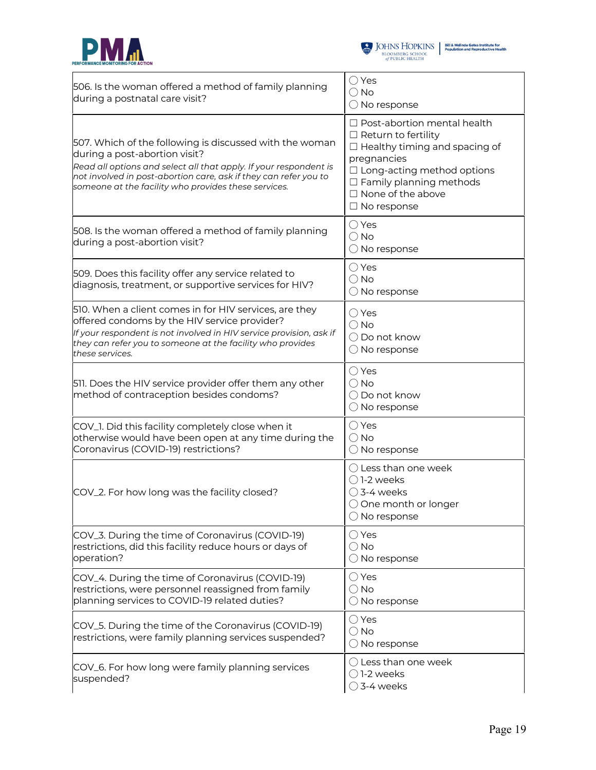



| 506. Is the woman offered a method of family planning<br>during a postnatal care visit?                                                                                                                                                                                                   | $\bigcirc$ Yes<br>$\bigcirc$ No<br>$\bigcirc$ No response                                                                                                                                                                                   |
|-------------------------------------------------------------------------------------------------------------------------------------------------------------------------------------------------------------------------------------------------------------------------------------------|---------------------------------------------------------------------------------------------------------------------------------------------------------------------------------------------------------------------------------------------|
| 507. Which of the following is discussed with the woman<br>during a post-abortion visit?<br>Read all options and select all that apply. If your respondent is<br>not involved in post-abortion care, ask if they can refer you to<br>someone at the facility who provides these services. | $\Box$ Post-abortion mental health<br>$\Box$ Return to fertility<br>$\Box$ Healthy timing and spacing of<br>pregnancies<br>□ Long-acting method options<br>$\Box$ Family planning methods<br>$\Box$ None of the above<br>$\Box$ No response |
| 508. Is the woman offered a method of family planning<br>during a post-abortion visit?                                                                                                                                                                                                    | $\bigcirc$ Yes<br>$\bigcirc$ No<br>$\bigcirc$ No response                                                                                                                                                                                   |
| 509. Does this facility offer any service related to<br>diagnosis, treatment, or supportive services for HIV?                                                                                                                                                                             | $\bigcirc$ Yes<br>$\bigcirc$ No<br>O No response                                                                                                                                                                                            |
| 510. When a client comes in for HIV services, are they<br>offered condoms by the HIV service provider?<br>If your respondent is not involved in HIV service provision, ask if<br>they can refer you to someone at the facility who provides<br>these services.                            | $\bigcirc$ Yes<br>$\bigcirc$ No<br>◯ Do not know<br>$\bigcirc$ No response                                                                                                                                                                  |
| 511. Does the HIV service provider offer them any other<br>method of contraception besides condoms?                                                                                                                                                                                       | $\bigcirc$ Yes<br>$\bigcirc$ No<br>$\bigcirc$ Do not know<br>$\bigcirc$ No response                                                                                                                                                         |
| COV_1. Did this facility completely close when it<br>otherwise would have been open at any time during the<br>Coronavirus (COVID-19) restrictions?                                                                                                                                        | $\bigcirc$ Yes<br>$\bigcirc$ No<br>$\bigcirc$ No response                                                                                                                                                                                   |
| COV_2. For how long was the facility closed?                                                                                                                                                                                                                                              | $\bigcirc$ Less than one week<br>$\bigcirc$ 1-2 weeks<br>$\bigcirc$ 3-4 weeks<br>○ One month or longer<br>$\bigcirc$ No response                                                                                                            |
| COV_3. During the time of Coronavirus (COVID-19)<br>restrictions, did this facility reduce hours or days of<br>operation?                                                                                                                                                                 | ◯ Yes<br>$\bigcirc$ No<br>$\bigcirc$ No response                                                                                                                                                                                            |
| COV_4. During the time of Coronavirus (COVID-19)<br>restrictions, were personnel reassigned from family<br>planning services to COVID-19 related duties?                                                                                                                                  | $\bigcirc$ Yes<br>$\bigcirc$ No<br>$\bigcirc$ No response                                                                                                                                                                                   |
| COV_5. During the time of the Coronavirus (COVID-19)<br>restrictions, were family planning services suspended?                                                                                                                                                                            | $\bigcirc$ Yes<br>$\bigcirc$ No<br>$\bigcirc$ No response                                                                                                                                                                                   |
| COV_6. For how long were family planning services<br>suspended?                                                                                                                                                                                                                           | $\bigcirc$ Less than one week<br>$\bigcirc$ 1-2 weeks<br>$\bigcirc$ 3-4 weeks                                                                                                                                                               |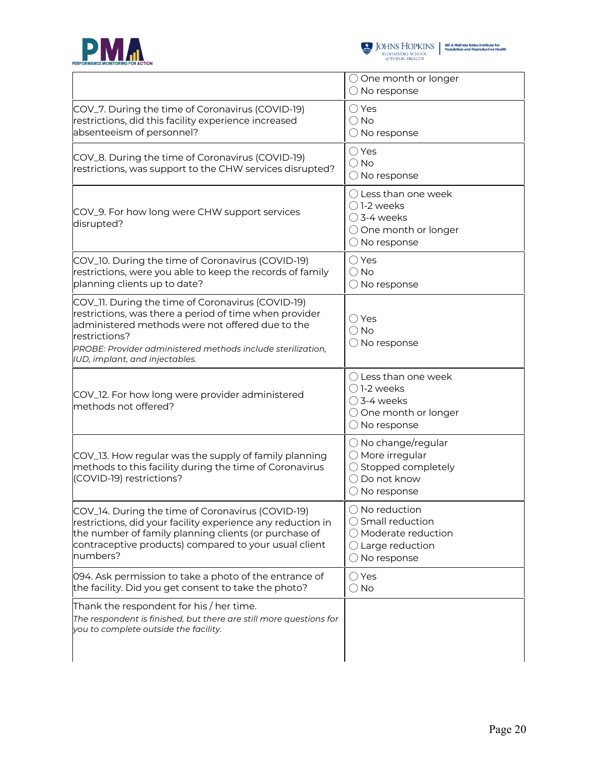



|                                                                                                                                                                                                                                                                                   | $\bigcirc$ One month or longer<br>$\bigcirc$ No response                                                                              |
|-----------------------------------------------------------------------------------------------------------------------------------------------------------------------------------------------------------------------------------------------------------------------------------|---------------------------------------------------------------------------------------------------------------------------------------|
| COV_7. During the time of Coronavirus (COVID-19)<br>restrictions, did this facility experience increased<br>absenteeism of personnel?                                                                                                                                             | $\bigcirc$ Yes<br>$\bigcirc$ No<br>O No response                                                                                      |
| COV_8. During the time of Coronavirus (COVID-19)<br>restrictions, was support to the CHW services disrupted?                                                                                                                                                                      | $\bigcirc$ Yes<br>$\bigcirc$ No<br>$\bigcirc$ No response                                                                             |
| COV_9. For how long were CHW support services<br>disrupted?                                                                                                                                                                                                                       | $\bigcirc$ Less than one week<br>◯ 1-2 weeks<br>$\bigcirc$ 3-4 weeks<br>○ One month or longer<br>$\bigcirc$ No response               |
| COV_10. During the time of Coronavirus (COVID-19)<br>restrictions, were you able to keep the records of family<br>planning clients up to date?                                                                                                                                    | $\bigcirc$ Yes<br>$\bigcirc$ No<br>$\bigcirc$ No response                                                                             |
| COV_11. During the time of Coronavirus (COVID-19)<br>restrictions, was there a period of time when provider<br>administered methods were not offered due to the<br>restrictions?<br>PROBE: Provider administered methods include sterilization,<br>IUD, implant, and injectables. | $\bigcirc$ Yes<br>$\bigcirc$ No<br>$\bigcirc$ No response                                                                             |
| COV_12. For how long were provider administered<br>methods not offered?                                                                                                                                                                                                           | $\bigcirc$ Less than one week<br>◯ 1-2 weeks<br>$\bigcirc$ 3-4 weeks<br>○ One month or longer<br>$\bigcirc$ No response               |
| COV_13. How regular was the supply of family planning<br>methods to this facility during the time of Coronavirus<br>(COVID-19) restrictions?                                                                                                                                      | $\bigcirc$ No change/regular<br>○ More irregular<br>◯ Stopped completely<br>◯ Do not know<br>$\bigcirc$ No response                   |
| COV_14. During the time of Coronavirus (COVID-19)<br>restrictions, did your facility experience any reduction in<br>the number of family planning clients (or purchase of<br>contraceptive products) compared to your usual client<br>numbers?                                    | $\bigcirc$ No reduction<br>$\bigcirc$ Small reduction<br>◯ Moderate reduction<br>$\bigcirc$ Large reduction<br>$\bigcirc$ No response |
| 094. Ask permission to take a photo of the entrance of<br>the facility. Did you get consent to take the photo?                                                                                                                                                                    | $\bigcirc$ Yes<br>$\bigcirc$ No                                                                                                       |
| Thank the respondent for his / her time.<br>The respondent is finished, but there are still more questions for<br>you to complete outside the facility.                                                                                                                           |                                                                                                                                       |